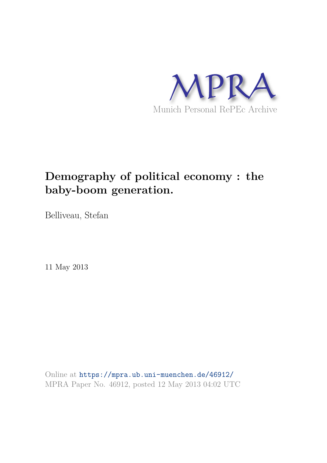

# **Demography of political economy : the baby-boom generation.**

Belliveau, Stefan

11 May 2013

Online at https://mpra.ub.uni-muenchen.de/46912/ MPRA Paper No. 46912, posted 12 May 2013 04:02 UTC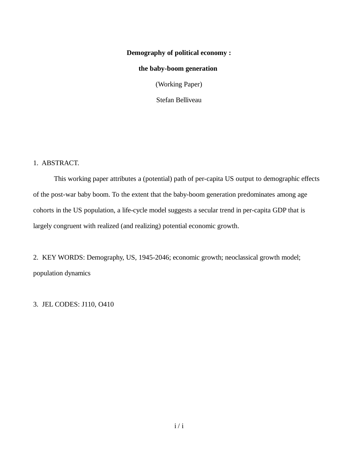# **Demography of political economy :**

## **the baby-boom generation**

(Working Paper)

Stefan Belliveau

1. ABSTRACT.

This working paper attributes a (potential) path of per-capita US output to demographic effects of the post-war baby boom. To the extent that the baby-boom generation predominates among age cohorts in the US population, a life-cycle model suggests a secular trend in per-capita GDP that is largely congruent with realized (and realizing) potential economic growth.

2. KEY WORDS: Demography, US, 1945-2046; economic growth; neoclassical growth model; population dynamics

3. JEL CODES: J110, O410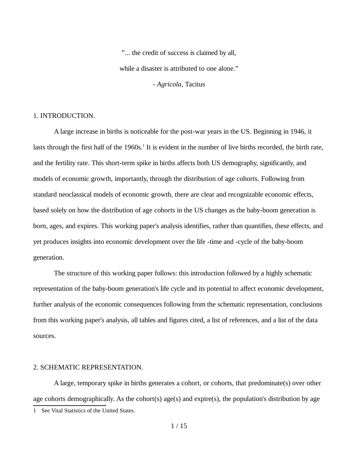"... the credit of success is claimed by all, while a disaster is attributed to one alone." - *Agricola*, Tacitus

#### 1. INTRODUCTION.

A large increase in births is noticeable for the post-war years in the US. Beginning in 1946, it lasts through the first half of the 1960s.<sup>1</sup> It is evident in the number of live births recorded, the birth rate, and the fertility rate. This short-term spike in births affects both US demography, significantly, and models of economic growth, importantly, through the distribution of age cohorts. Following from standard neoclassical models of economic growth, there are clear and recognizable economic effects, based solely on how the distribution of age cohorts in the US changes as the baby-boom generation is born, ages, and expires. This working paper's analysis identifies, rather than quantifies, these effects, and yet produces insights into economic development over the life -time and -cycle of the baby-boom generation.

The structure of this working paper follows: this introduction followed by a highly schematic representation of the baby-boom generation's life cycle and its potential to affect economic development, further analysis of the economic consequences following from the schematic representation, conclusions from this working paper's analysis, all tables and figures cited, a list of references, and a list of the data sources.

## 2. SCHEMATIC REPRESENTATION.

A large, temporary spike in births generates a cohort, or cohorts, that predominate(s) over other age cohorts demographically. As the cohort(s) age(s) and expire(s), the population's distribution by age

<sup>1</sup> See Vital Statistics of the United States.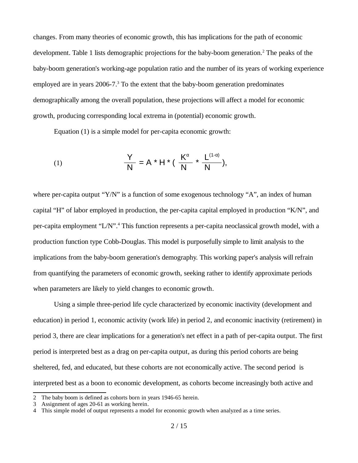changes. From many theories of economic growth, this has implications for the path of economic development. Table 1 lists demographic projections for the baby-boom generation.<sup>2</sup> The peaks of the baby-boom generation's working-age population ratio and the number of its years of working experience employed are in years  $2006$ -7. $3$  To the extent that the baby-boom generation predominates demographically among the overall population, these projections will affect a model for economic growth, producing corresponding local extrema in (potential) economic growth.

Equation (1) is a simple model for per-capita economic growth:

(1) 
$$
\frac{Y}{N} = A * H * (\frac{K^{\alpha}}{N} * \frac{L^{(1-\alpha)}}{N}),
$$

where per-capita output " $Y/N$ " is a function of some exogenous technology "A", an index of human capital "H" of labor employed in production, the per-capita capital employed in production "K/N", and per-capita employment "L/N".<sup>4</sup> This function represents a per-capita neoclassical growth model, with a production function type Cobb-Douglas. This model is purposefully simple to limit analysis to the implications from the baby-boom generation's demography. This working paper's analysis will refrain from quantifying the parameters of economic growth, seeking rather to identify approximate periods when parameters are likely to yield changes to economic growth.

Using a simple three-period life cycle characterized by economic inactivity (development and education) in period 1, economic activity (work life) in period 2, and economic inactivity (retirement) in period 3, there are clear implications for a generation's net effect in a path of per-capita output. The first period is interpreted best as a drag on per-capita output, as during this period cohorts are being sheltered, fed, and educated, but these cohorts are not economically active. The second period is interpreted best as a boon to economic development, as cohorts become increasingly both active and

<sup>2</sup> The baby boom is defined as cohorts born in years 1946-65 herein.

Assignment of ages 20-61 as working herein.

<sup>4</sup> This simple model of output represents a model for economic growth when analyzed as a time series.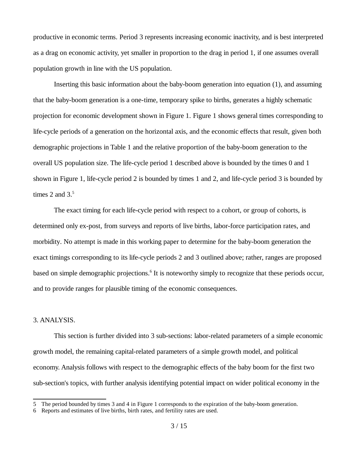productive in economic terms. Period 3 represents increasing economic inactivity, and is best interpreted as a drag on economic activity, yet smaller in proportion to the drag in period 1, if one assumes overall population growth in line with the US population.

Inserting this basic information about the baby-boom generation into equation (1), and assuming that the baby-boom generation is a one-time, temporary spike to births, generates a highly schematic projection for economic development shown in Figure 1. Figure 1 shows general times corresponding to life-cycle periods of a generation on the horizontal axis, and the economic effects that result, given both demographic projections in Table 1 and the relative proportion of the baby-boom generation to the overall US population size. The life-cycle period 1 described above is bounded by the times 0 and 1 shown in Figure 1, life-cycle period 2 is bounded by times 1 and 2, and life-cycle period 3 is bounded by times 2 and  $3<sup>5</sup>$ 

The exact timing for each life-cycle period with respect to a cohort, or group of cohorts, is determined only ex-post, from surveys and reports of live births, labor-force participation rates, and morbidity. No attempt is made in this working paper to determine for the baby-boom generation the exact timings corresponding to its life-cycle periods 2 and 3 outlined above; rather, ranges are proposed based on simple demographic projections.<sup>6</sup> It is noteworthy simply to recognize that these periods occur, and to provide ranges for plausible timing of the economic consequences.

#### 3. ANALYSIS.

This section is further divided into 3 sub-sections: labor-related parameters of a simple economic growth model, the remaining capital-related parameters of a simple growth model, and political economy. Analysis follows with respect to the demographic effects of the baby boom for the first two sub-section's topics, with further analysis identifying potential impact on wider political economy in the

<sup>5</sup> The period bounded by times 3 and 4 in Figure 1 corresponds to the expiration of the baby-boom generation.

Reports and estimates of live births, birth rates, and fertility rates are used.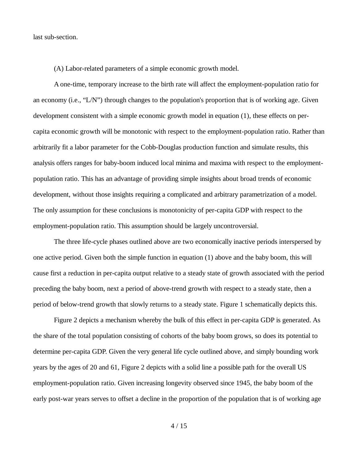last sub-section.

(A) Labor-related parameters of a simple economic growth model.

A one-time, temporary increase to the birth rate will affect the employment-population ratio for an economy (i.e., "L/N") through changes to the population's proportion that is of working age. Given development consistent with a simple economic growth model in equation (1), these effects on percapita economic growth will be monotonic with respect to the employment-population ratio. Rather than arbitrarily fit a labor parameter for the Cobb-Douglas production function and simulate results, this analysis offers ranges for baby-boom induced local minima and maxima with respect to the employmentpopulation ratio. This has an advantage of providing simple insights about broad trends of economic development, without those insights requiring a complicated and arbitrary parametrization of a model. The only assumption for these conclusions is monotonicity of per-capita GDP with respect to the employment-population ratio. This assumption should be largely uncontroversial.

The three life-cycle phases outlined above are two economically inactive periods interspersed by one active period. Given both the simple function in equation (1) above and the baby boom, this will cause first a reduction in per-capita output relative to a steady state of growth associated with the period preceding the baby boom, next a period of above-trend growth with respect to a steady state, then a period of below-trend growth that slowly returns to a steady state. Figure 1 schematically depicts this.

Figure 2 depicts a mechanism whereby the bulk of this effect in per-capita GDP is generated. As the share of the total population consisting of cohorts of the baby boom grows, so does its potential to determine per-capita GDP. Given the very general life cycle outlined above, and simply bounding work years by the ages of 20 and 61, Figure 2 depicts with a solid line a possible path for the overall US employment-population ratio. Given increasing longevity observed since 1945, the baby boom of the early post-war years serves to offset a decline in the proportion of the population that is of working age

4 / 15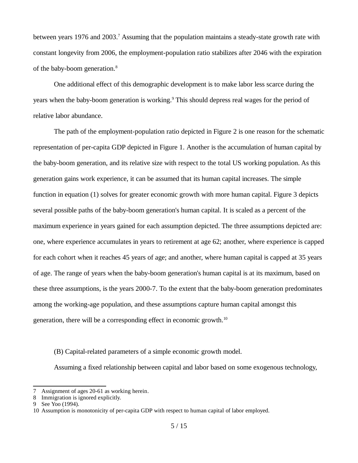between years 1976 and 2003.<sup>7</sup> Assuming that the population maintains a steady-state growth rate with constant longevity from 2006, the employment-population ratio stabilizes after 2046 with the expiration of the baby-boom generation.<sup>8</sup>

One additional effect of this demographic development is to make labor less scarce during the years when the baby-boom generation is working.<sup>9</sup> This should depress real wages for the period of relative labor abundance.

The path of the employment-population ratio depicted in Figure 2 is one reason for the schematic representation of per-capita GDP depicted in Figure 1. Another is the accumulation of human capital by the baby-boom generation, and its relative size with respect to the total US working population. As this generation gains work experience, it can be assumed that its human capital increases. The simple function in equation (1) solves for greater economic growth with more human capital. Figure 3 depicts several possible paths of the baby-boom generation's human capital. It is scaled as a percent of the maximum experience in years gained for each assumption depicted. The three assumptions depicted are: one, where experience accumulates in years to retirement at age 62; another, where experience is capped for each cohort when it reaches 45 years of age; and another, where human capital is capped at 35 years of age. The range of years when the baby-boom generation's human capital is at its maximum, based on these three assumptions, is the years 2000-7. To the extent that the baby-boom generation predominates among the working-age population, and these assumptions capture human capital amongst this generation, there will be a corresponding effect in economic growth.<sup>10</sup>

(B) Capital-related parameters of a simple economic growth model.

Assuming a fixed relationship between capital and labor based on some exogenous technology,

<sup>7</sup> Assignment of ages 20-61 as working herein.

<sup>8</sup> Immigration is ignored explicitly.

See Yoo (1994).

<sup>10</sup> Assumption is monotonicity of per-capita GDP with respect to human capital of labor employed.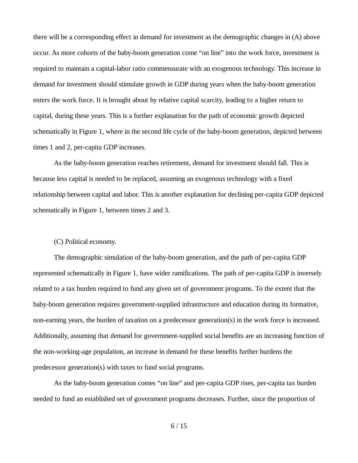there will be a corresponding effect in demand for investment as the demographic changes in (A) above occur. As more cohorts of the baby-boom generation come "on line" into the work force, investment is required to maintain a capital-labor ratio commensurate with an exogenous technology. This increase in demand for investment should stimulate growth in GDP during years when the baby-boom generation enters the work force. It is brought about by relative capital scarcity, leading to a higher return to capital, during these years. This is a further explanation for the path of economic growth depicted schematically in Figure 1, where in the second life cycle of the baby-boom generation, depicted between times 1 and 2, per-capita GDP increases.

As the baby-boom generation reaches retirement, demand for investment should fall. This is because less capital is needed to be replaced, assuming an exogenous technology with a fixed relationship between capital and labor. This is another explanation for declining per-capita GDP depicted schematically in Figure 1, between times 2 and 3.

### (C) Political economy.

The demographic simulation of the baby-boom generation, and the path of per-capita GDP represented schematically in Figure 1, have wider ramifications. The path of per-capita GDP is inversely related to a tax burden required to fund any given set of government programs. To the extent that the baby-boom generation requires government-supplied infrastructure and education during its formative, non-earning years, the burden of taxation on a predecessor generation(s) in the work force is increased. Additionally, assuming that demand for government-supplied social benefits are an increasing function of the non-working-age population, an increase in demand for these benefits further burdens the predecessor generation(s) with taxes to fund social programs.

As the baby-boom generation comes "on line" and per-capita GDP rises, per-capita tax burden needed to fund an established set of government programs decreases. Further, since the proportion of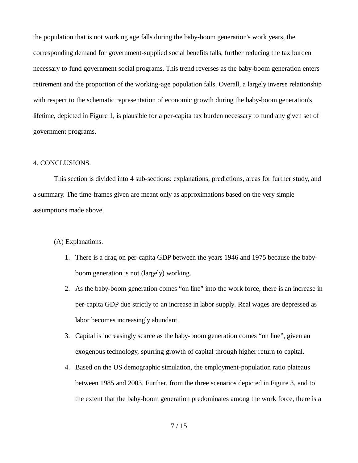the population that is not working age falls during the baby-boom generation's work years, the corresponding demand for government-supplied social benefits falls, further reducing the tax burden necessary to fund government social programs. This trend reverses as the baby-boom generation enters retirement and the proportion of the working-age population falls. Overall, a largely inverse relationship with respect to the schematic representation of economic growth during the baby-boom generation's lifetime, depicted in Figure 1, is plausible for a per-capita tax burden necessary to fund any given set of government programs.

#### 4. CONCLUSIONS.

This section is divided into 4 sub-sections: explanations, predictions, areas for further study, and a summary. The time-frames given are meant only as approximations based on the very simple assumptions made above.

(A) Explanations.

- 1. There is a drag on per-capita GDP between the years 1946 and 1975 because the babyboom generation is not (largely) working.
- 2. As the baby-boom generation comes "on line" into the work force, there is an increase in per-capita GDP due strictly to an increase in labor supply. Real wages are depressed as labor becomes increasingly abundant.
- 3. Capital is increasingly scarce as the baby-boom generation comes "on line", given an exogenous technology, spurring growth of capital through higher return to capital.
- 4. Based on the US demographic simulation, the employment-population ratio plateaus between 1985 and 2003. Further, from the three scenarios depicted in Figure 3, and to the extent that the baby-boom generation predominates among the work force, there is a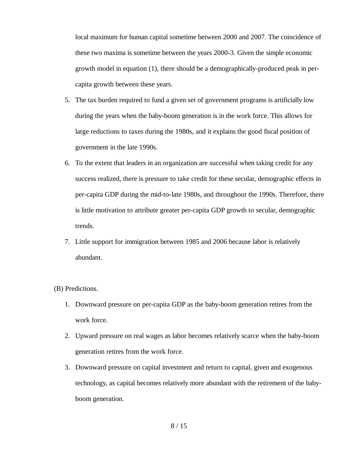local maximum for human capital sometime between 2000 and 2007. The coincidence of these two maxima is sometime between the years 2000-3. Given the simple economic growth model in equation (1), there should be a demographically-produced peak in percapita growth between these years.

- 5. The tax burden required to fund a given set of government programs is artificially low during the years when the baby-boom generation is in the work force. This allows for large reductions to taxes during the 1980s, and it explains the good fiscal position of government in the late 1990s.
- 6. To the extent that leaders in an organization are successful when taking credit for any success realized, there is pressure to take credit for these secular, demographic effects in per-capita GDP during the mid-to-late 1980s, and throughout the 1990s. Therefore, there is little motivation to attribute greater per-capita GDP growth to secular, demographic trends.
- 7. Little support for immigration between 1985 and 2006 because labor is relatively abundant.

#### (B) Predictions.

- 1. Downward pressure on per-capita GDP as the baby-boom generation retires from the work force.
- 2. Upward pressure on real wages as labor becomes relatively scarce when the baby-boom generation retires from the work force.
- 3. Downward pressure on capital investment and return to capital, given and exogenous technology, as capital becomes relatively more abundant with the retirement of the babyboom generation.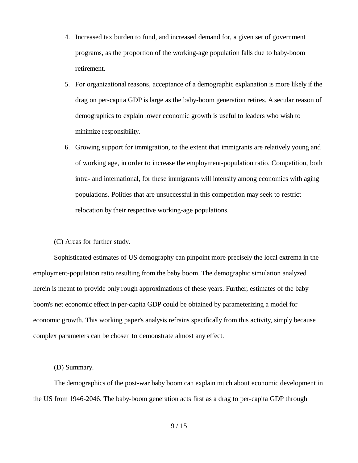- 4. Increased tax burden to fund, and increased demand for, a given set of government programs, as the proportion of the working-age population falls due to baby-boom retirement.
- 5. For organizational reasons, acceptance of a demographic explanation is more likely if the drag on per-capita GDP is large as the baby-boom generation retires. A secular reason of demographics to explain lower economic growth is useful to leaders who wish to minimize responsibility.
- 6. Growing support for immigration, to the extent that immigrants are relatively young and of working age, in order to increase the employment-population ratio. Competition, both intra- and international, for these immigrants will intensify among economies with aging populations. Polities that are unsuccessful in this competition may seek to restrict relocation by their respective working-age populations.

(C) Areas for further study.

Sophisticated estimates of US demography can pinpoint more precisely the local extrema in the employment-population ratio resulting from the baby boom. The demographic simulation analyzed herein is meant to provide only rough approximations of these years. Further, estimates of the baby boom's net economic effect in per-capita GDP could be obtained by parameterizing a model for economic growth. This working paper's analysis refrains specifically from this activity, simply because complex parameters can be chosen to demonstrate almost any effect.

#### (D) Summary.

The demographics of the post-war baby boom can explain much about economic development in the US from 1946-2046. The baby-boom generation acts first as a drag to per-capita GDP through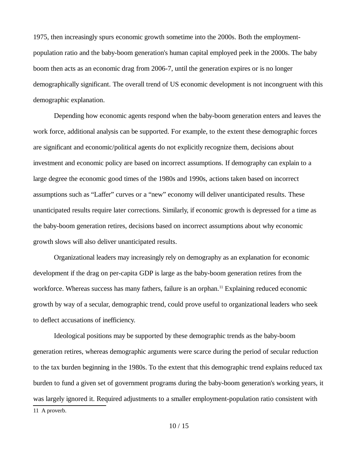1975, then increasingly spurs economic growth sometime into the 2000s. Both the employmentpopulation ratio and the baby-boom generation's human capital employed peek in the 2000s. The baby boom then acts as an economic drag from 2006-7, until the generation expires or is no longer demographically significant. The overall trend of US economic development is not incongruent with this demographic explanation.

Depending how economic agents respond when the baby-boom generation enters and leaves the work force, additional analysis can be supported. For example, to the extent these demographic forces are significant and economic/political agents do not explicitly recognize them, decisions about investment and economic policy are based on incorrect assumptions. If demography can explain to a large degree the economic good times of the 1980s and 1990s, actions taken based on incorrect assumptions such as "Laffer" curves or a "new" economy will deliver unanticipated results. These unanticipated results require later corrections. Similarly, if economic growth is depressed for a time as the baby-boom generation retires, decisions based on incorrect assumptions about why economic growth slows will also deliver unanticipated results.

Organizational leaders may increasingly rely on demography as an explanation for economic development if the drag on per-capita GDP is large as the baby-boom generation retires from the workforce. Whereas success has many fathers, failure is an orphan.<sup>11</sup> Explaining reduced economic growth by way of a secular, demographic trend, could prove useful to organizational leaders who seek to deflect accusations of inefficiency.

Ideological positions may be supported by these demographic trends as the baby-boom generation retires, whereas demographic arguments were scarce during the period of secular reduction to the tax burden beginning in the 1980s. To the extent that this demographic trend explains reduced tax burden to fund a given set of government programs during the baby-boom generation's working years, it was largely ignored it. Required adjustments to a smaller employment-population ratio consistent with 11 A proverb.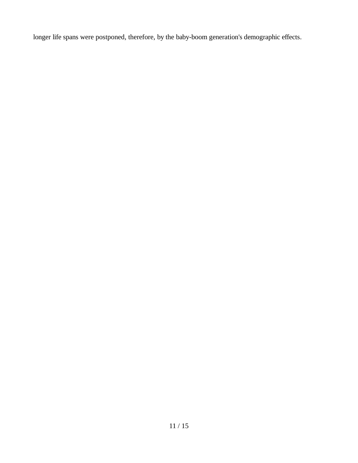longer life spans were postponed, therefore, by the baby-boom generation's demographic effects.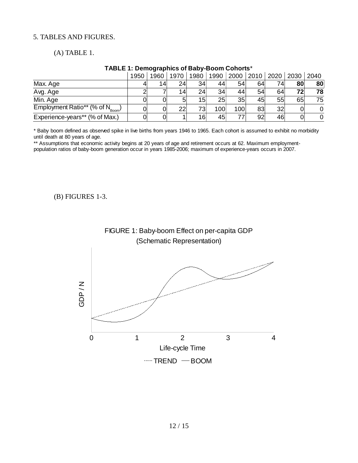# 5. TABLES AND FIGURES.

(A) TABLE 1.

# **TABLE 1: Demographics of Baby-Boom Cohorts**\*

|                                              | 1950 | 1960            | 1970 | 1980 | 1990 | 2000 | 2010 | 2020 | 2030 | 2040 |
|----------------------------------------------|------|-----------------|------|------|------|------|------|------|------|------|
| Max. Age                                     |      | 14 <sub>1</sub> | 24   | 34   | 44   | 54   | 64   | 74   | 80   | 80   |
| Avg. Age                                     |      |                 | 14   | 24   | 34   | 44   | 54   | 64   | 72   | 78   |
| Min. Age                                     |      | Οl              | 5    | 15   | 25   | 35   | 45   | 55   | 65   | 75   |
| Employment Ratio** (% of $N_{\text{geom}}$ ) |      | Ol              | 22   | 73   | 100  | 100  | 83   | 32   |      |      |
| Experience-years** (% of Max.)               |      | 01              |      | 16   | 45   | 77   | 92   | 46   |      | 0    |

\* Baby boom defined as observed spike in live births from years 1946 to 1965. Each cohort is assumed to exhibit no morbidity until death at 80 years of age.

\*\* Assumptions that economic activity begins at 20 years of age and retirement occurs at 62. Maximum employmentpopulation ratios of baby-boom generation occur in years 1985-2006; maximum of experience-years occurs in 2007.

(B) FIGURES 1-3.

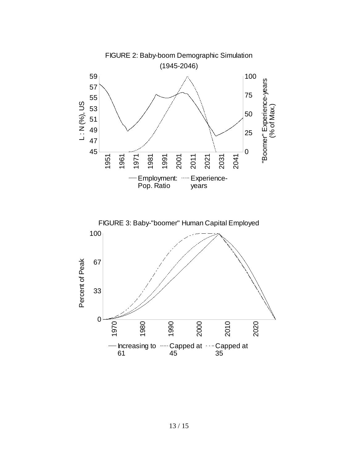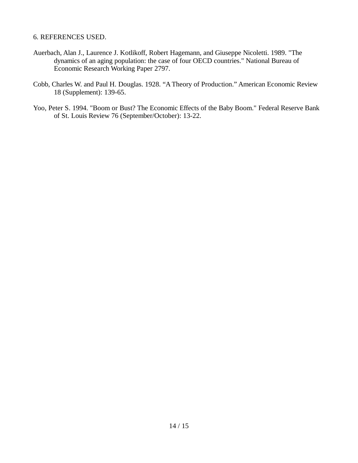## 6. REFERENCES USED.

- Auerbach, Alan J., Laurence J. Kotlikoff, Robert Hagemann, and Giuseppe Nicoletti. 1989. "The dynamics of an aging population: the case of four OECD countries." National Bureau of Economic Research Working Paper 2797.
- Cobb, Charles W. and Paul H. Douglas. 1928. "A Theory of Production." American Economic Review 18 (Supplement): 139-65.
- Yoo, Peter S. 1994. "Boom or Bust? The Economic Effects of the Baby Boom." Federal Reserve Bank of St. Louis Review 76 (September/October): 13-22.